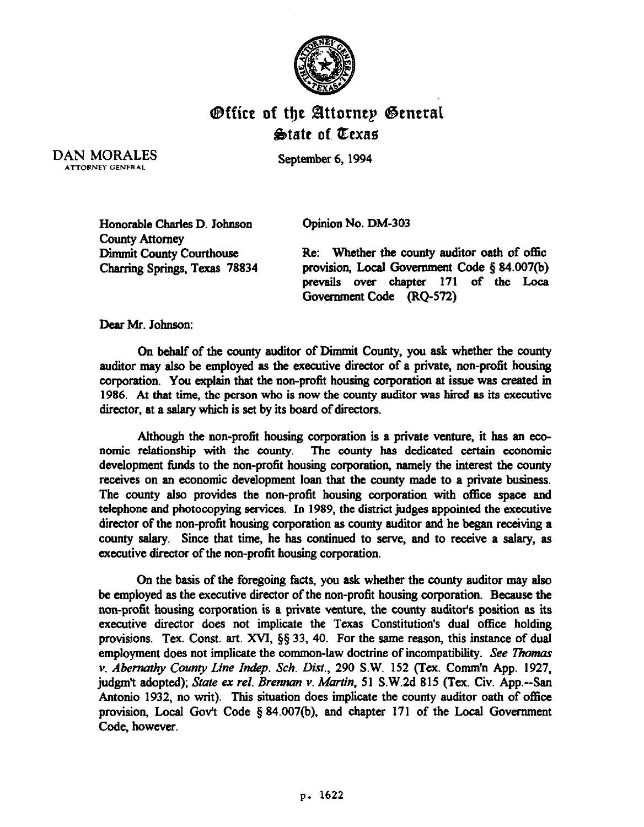

## Office of the Attornep General  $\triangle$ tate of Texas

DAN MORALES ATTORNEY GENERAL

September 6,1994

Honorable Charles D. Johnson County Attorney Dimmit county courthouse Charring Springs, Texas 78834 Opinion No. DM-303

Re: Whether the county auditor oath of offic provision, Local Govermnent Code \$84.007(b) prevails over chapter 171 of the Loca Government Code (RQ-572)

Dear Mr. Johnson:

On behalf of the county auditor of Dimmit County, you ask whether the county auditor may also be employed as the executive director of a private, non-profit housing corporation. You explain that the non-profit housing corporation at issue was created in 1986. At that time, the person who is now the county auditor was hired as its executive director, at a salary which is set by its board of directors.

Although the non-profit housing corporation is a private venture, it has an economic relationship with the county. The county has dedicated certain economic development funds to the non-profit housing corporation, namely the interest the county receives on an economic development loan that the county made to a private business. The county also provides the non-profit housing corporation with office space and telephone and photocopying services. In 1989, the district judges appointed the executive director of the non-profit housing corporation as county auditor and he began receiving a county salary. Since that time, he has continued to serve, and to receive a salary, as executive director of the non-profit housing corporation.

On the basis of the foregoing facts, you ask whether the county auditor may also be employed as the executive director of the non-profit housing corporation. Because the non-profit housing corporation is a private venture, the county auditor's position as its executive director does not implicate the Texas Constitution's dual office holding provisions. Tex. Const. art. XVJ, \$5 33, 40. For the same reason, this instance of **dual**  employment does not implicate the common-law doctrine of incompatibility. See Thomas *v. Abernathy County Line Indep. Sch. Dist., 290 S.W. 152 (Tex. Comm'n App. 1927,* judgm't adopted); State ex rel. *Brennan v. Martin*, 51 S.W.2d 815 (Tex. Civ. App.--San Antonio 1932, no writ). This situation does implicate the **county** auditor oath of office provision, Local Gov't Code § 84.007(b), and chapter 171 of the Local Government Code, however.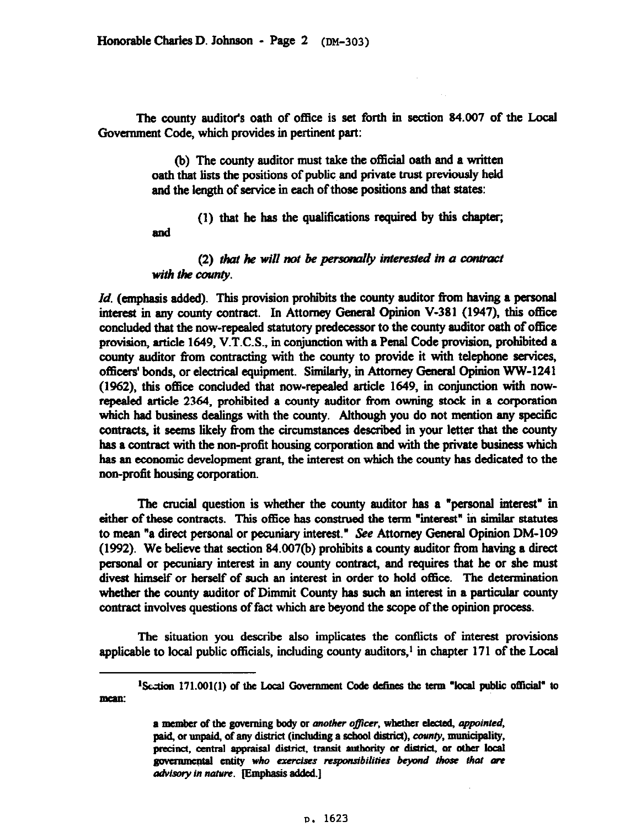and

The county auditor's oath of office is set forth in section 84.007 of the Local Government Code, which provides in pertinent part:

> (b) The county auditor must take the official oath and a written oath that lists the positions of public, and private trust previously held and the length of service in each of those positions and that states:

 $(1)$  that he has the qualifications required by this chapter;

(2) that he will not be personally interested in a contract with the county.

*Id.* (emphasis added). This provision prohibits the county auditor from having a personal interest in any county contract. In Attorney General Opinion V-381 (1947), this office concluded that the now-repealed statutory predecessor to the county auditor oath of office provision, article 1649, V.T.C.S., in conjunction with a Penal Code provision, prohibited a county auditor from contracting with the county to provide it with telephone services, officers' bonds, or electrical equipment. Similarly, in Attorney General Opinion WW-1241 (1962), this office concluded that now-repealed article 1649, in conjunction with nowrepealed article 2364, prohibited a county auditor from owning stock in a corporation which had business dealings with the county. Although you do not mention any specific contracts, it seems likely from the circumstances described in your letter that the county has a contract with the non-profit housing corporation and with the private business which has an economic development grant, the interest on which the county has dedicated to the non-profit housing corporation.

The crucial question is whether the county auditor has a "personal interest" in either of these contracts. This office has construed the term "interest" in similar statutes to mean "a direct personal or pecuniary interest." See Attorney General Opinion DM-109  $(1992)$ . We believe that section 84.007(b) prohibits a county auditor from having a direct personal or pecuniary interest in any county contract, and requires that he or she must divest himself or herself of such an interest in order to hold office. The determination whether the county auditor of Dimmit County has such an interest in a particular county contract involves questions of fact which are beyond the scope of the opinion process.

The situation you describe also implicates the conflicts of interest provisions applicable to local public officials, including county auditors,<sup>1</sup> in chapter  $171$  of the Local

<sup>&</sup>lt;sup>1</sup>Section 171.001(1) of the Local Government Code defines the term "local public official" to **mcaa:** 

a member of the governing body or another officer, whether elected, appointed, paid, or unpaid, of any district (including a school district), county, municipality, precinct, central appraisal district, transit authority or district, or other local governmental entity who exercises responsibilities beyond those that are advisory in nature. [Emphasis added.]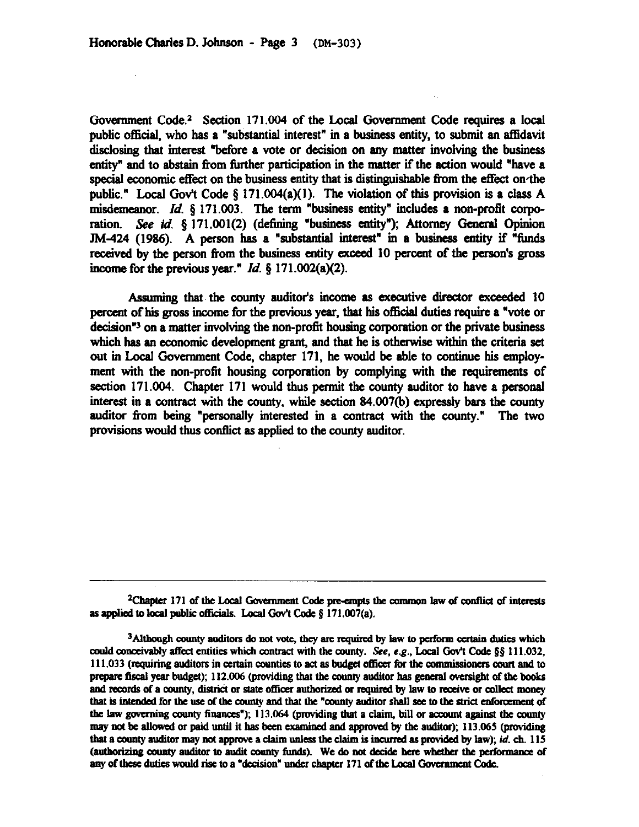Government Code.<sup>2</sup> Section 171.004 of the Local Government Code requires a local public official, who has a "substantial interest" in a business entity, to submit an affidavit disclosing that interest "before a vote or decision on any matter involving the business entity" and to abstain from further participation in the matter if the action would "have a special economic effect on the business entity that is distinguishable from the effect on the public." Local Gov't Code § 171.004(a)(1). The violation of this provision is a class A misdemeanor. *Id.*  $\&$  171.003. The term "business entity" includes a non-profit corporation. See id. § 171.001(2) (defining "business entity"); Attorney General Opinion JM-424 (1986). A person has a "substantial interest" in a business entity if "funds received by the person from the business entity exceed 10 percent of the person's gross income for the previous year." *Id. \$171.002(a)(z).* 

Assuming that the county auditor's income as executive director exceeded 10 percent of his gross income for the previous year, that his official duties require a "vote or decision<sup>"3</sup> on a matter involving the non-profit housing corporation or the private business which has an economic development grant, and that he is otherwise within the criteria set out in Local Government Code, chapter 171, he would be able to continue his employment with the non-profit housing corporation by complying with the requirements of section 171.004. Chapter 171 would thus permit the county auditor to have a personal interest in a contract with the county, while section 84.007(b) expressly bars the county auditor from being "personally interested in a contract with the county." The two provisions would thus conflict as applied to the county auditor.

<sup>2</sup>Chapter 171 of the Local Government Code pre-empts the common law of conflict of interests as applied to local public officials. Local Gov't Code § 171.007(a).

<sup>3</sup>Although county auditors do not vote, they are required by law to perform certain duties which could conceivably affect entities which contract with the county. See, e.g., Local Gov't Code §§ 111.032, 111.033 (requiring auditors in certain counties to act as budget officer for the commissioners court and to prepare fiscal year budget); 112.006 (providing that the county auditor has general oversight of the books and records of a county, district or state officer authorized or required by law to receive or collect money that is intended for the use of the county and that the "county auditor shall see to the strict enforcement of the law governing county finances"); 113.064 (providing that a claim, bill or account against the county may not be allowed or paid until it has been examined and approved by the auditor); 113.065 (providing that a county auditor may not approve a claim unless the claim is incurred as provided by law); id. ch. 115 (authorizing county auditor to audit county funds). We do not decide here whether the performance of any of these duties would rise to a "decision" under chapter 171 of the Local Government Code.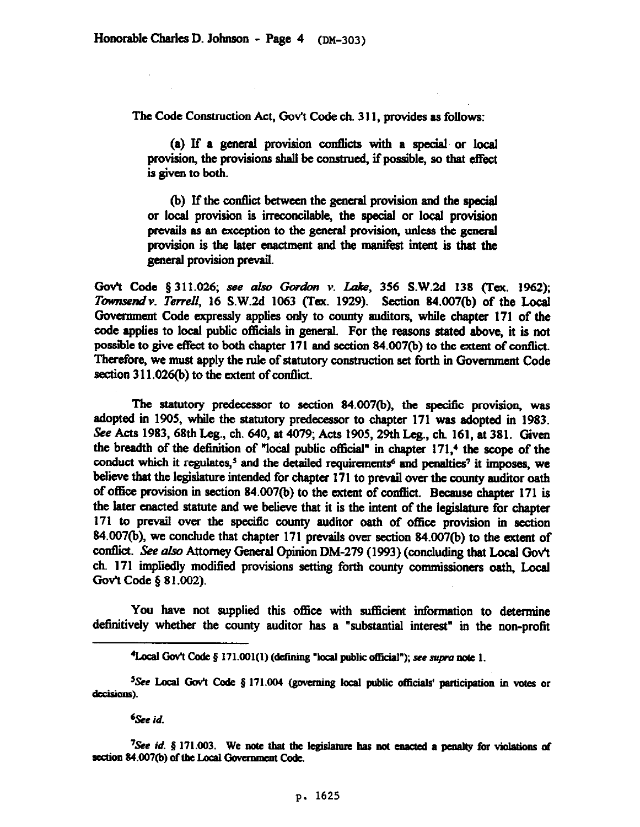The Code Construction Act, Gov't Code ch. 311. provides as follows:

(a) If a general provision conflicts with a special or local provision, the provisions shall be construed, if possible, so that effect is given to both.

(b) If the wntlict between the general provision and the special or local provision is irreconcilable, the special or local provision prevails as an exception to the general provision. unless the general provision is the later enactment and the manifest intent is that the general provision prevail.

Gov't Code § 311.026; see also Gordon v. Lake, 356 S.W.2d 138 (Tex. 1962); *Townsend v. Terrell*, 16 S.W.2d 1063 (Tex. 1929). Section 84.007(b) of the Local Govemment Code expressly applies only to county auditors. while chapter 171 of the code applies to local public officials in general. For the reasons stated above, it is not possible to give effect to both chapter 171 and section 84.007(b) to the extent of conflict. Therefore, we must apply the rule of statutory construction set forth in Government Code section  $311.026(b)$  to the extent of conflict.

The statutory predecessor to section 84.007(b), the specific provision, was adopted in 1905, while the statutory predecessor to chapter 171 was adopted in 1983. See Acts 1983, 68th Leg., ch. 640, at 4079; Acts 1905, 29th Leg., ch. 161, at 381. Given the breadth of the detinition of "local public official" in chapter 171.4 the scope of the conduct which it regulates,<sup>5</sup> and the detailed requirements<sup>6</sup> and penalties<sup>7</sup> it imposes, we believe that the legislature intended for chapter 171 to prevail over the county auditor oath of office provision in section 84.007(b) to the extent of conflict. Because chapter 171 is the later enacted statute and we believe that it is the intent of the legislature for chapter 171 to prevail over the specific county auditor oath of office provision in section 84.007(b), we conclude that chapter 171 prevails over section 84.007(b) to the extent of conflict. See also Attorney General Opinion DM-279 (1993) (concluding that Local Gov't ch. 171 impliedly modified provisions setting forth county commissioners oath, Local Gov't Code § 81.002).

You have not supplied this office with sufficient information to determine definitively whether the county auditor has a "substantial interest" in the non-profit

6&e *id.* 

<sup>&</sup>lt;sup>4</sup>Local Gov't Code § 171.001(1) (defining "local public official"); see supra note 1.

<sup>&</sup>lt;sup>5</sup>See Local Gov't Code § 171.004 (governing local public officials' participation in votes or decisions).

<sup>&</sup>lt;sup>7</sup>See *id.*  $\oint$  171.003. We note that the legislature has not enacted a penalty for violations of section 84.007(b) of the Local Government Code.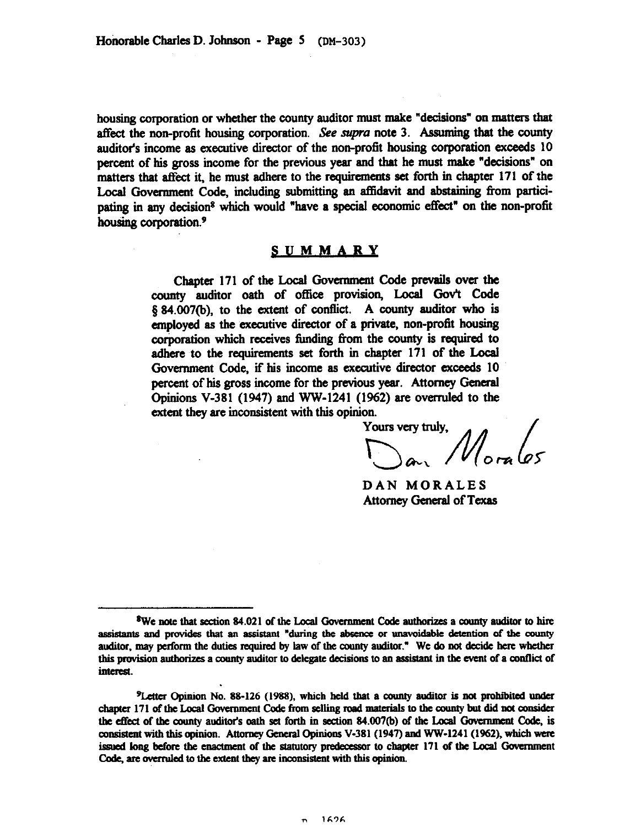housing corporation or whether the county auditor must make "decisions" on matters that affect the non-profit housing corporation. See supra note 3. Assuming that the county auditor's income as executive director of the non-profit housing corporation exceeds 10 percent of his gross income for the previous year and that he must make "decisions" on matters that affect it, he must adhere to the requirements set forth in chapter 171 of the Local Government Code, including submitting an affidavit and abstaining from participating in any decision<sup>8</sup> which would "have a special economic effect" on the non-profit housing corporation.<sup>9</sup>

## **SUMMARY**

Chapter 171 of the Local Government Code prevails over the county auditor oath of office provision, Local Gov't Code § 84.007(b), to the extent of conflict. A county auditor who is employed as the executive director of a private, non-profit housing corporation which receives funding from the county is required to adhere to the requirements set forth in chapter 171 of the Local Government Code, if his income as executive director exceeds 10 percent of his gross income for the previous year. Attorney General Opinions V-381 (1947) and WW-1241 (1962) are overruled to the extent they are inconsistent with this opinion.<br>Yours very truly,

 $\sum_{\alpha}$ <sup>1</sup> $M_{\alpha}$  les

DAN MORALES Attorney General of Texas

<sup>&</sup>lt;sup>8</sup>We note that section 84.021 of the Local Government Code authorizes a county auditor to hire assistants and provides that an assistant "during the absence or unavoidable detention of the county auditor, may perform the duties required by law of the county auditor." We do not decide here whether this provision authorizes a county auditor to delegate decisions to an assistant in the event of a conflict of interest.

<sup>&</sup>lt;sup>9</sup>Letter Opinion No. 88-126 (1988), which held that a county auditor is not prohibited under chapter 171 of the Local Government Code from selling road materials to the county but did not consider the effect of the county auditor's oath set forth in section 84.007(b) of the Local Government Code, is consistent with this opinion. Attorney General Opinions V-381 (1947) and WW-1241 (1962), which were issued long before the enactment of the statutory predecessor to chapter 171 of the Local Government Code, are overruled to the extent they are inconsistent with this opinion.